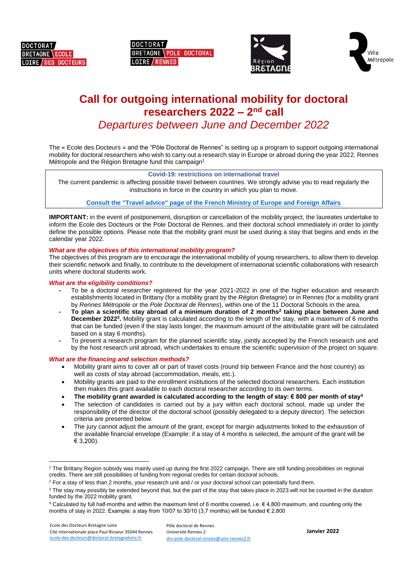

**DOCTORAT** BRETAGNE POLE DOCTORAL LOIRE / RENNES





# **Call for outgoing international mobility for doctoral researchers 2022 – 2 nd call** *Departures between June and December 2022*

The « Ecole des Docteurs » and the "Pôle Doctoral de Rennes" is setting up a program to support outgoing international mobility for doctoral researchers who wish to carry out a research stay in Europe or abroad during the year 2022. Rennes Métropole and the Région Bretagne fund this campaign<sup>1</sup>.

# **Covid-19: restrictions on international travel**

The current pandemic is affecting possible travel between countries. We strongly advise you to read regularly the instructions in force in the country in which you plan to move.

## **[Consult the "Travel advice" page of the French Ministry of Europe and Foreign Affairs](https://www.diplomatie.gouv.fr/fr/conseils-aux-voyageurs/)**

**IMPORTANT:** in the event of postponement, disruption or cancellation of the mobility project, the laureates undertake to inform the Ecole des Docteurs or the Pole Doctoral de Rennes, and their doctoral school immediately in order to jointly define the possible options. Please note that the mobility grant must be used during a stay that begins and ends in the calendar year 2022.

## *What are the objectives of this international mobility program?*

The objectives of this program are to encourage the international mobility of young researchers, to allow them to develop their scientific network and finally, to contribute to the development of international scientific collaborations with research units where doctoral students work.

#### *What are the eligibility conditions?*

- **-** To be a doctoral researcher registered for the year 2021-2022 in one of the higher education and research establishments located in Brittany (for a mobility grant by the *Région Bretagne*) or in Rennes (for a mobility grant by *Rennes Métropole* or the *Pole Doctoral de Rennes*), within one of the 11 Doctoral Schools in the area.
- **- To plan a scientific stay abroad of a minimum duration of 2 months<sup>2</sup> taking place between June and December 2022 3 .** Mobility grant is calculated according to the length of the stay, with a maximum of 6 months that can be funded (even if the stay lasts longer, the maximum amount of the attributable grant will be calculated based on a stay 6 months).
- **-** To present a research program for the planned scientific stay, jointly accepted by the French research unit and by the host research unit abroad, which undertakes to ensure the scientific supervision of the project on square.

#### *What are the financing and selection methods?*

- Mobility grant aims to cover all or part of travel costs (round trip between France and the host country) as well as costs of stay abroad (accommodation, meals, etc.).
- Mobility grants are paid to the enrollment institutions of the selected doctoral researchers. Each institution then makes this grant available to each doctoral researcher according to its own terms.
- The mobility grant awarded is calculated according to the length of stay:  $\epsilon$  800 per month of stay<sup>4</sup>
- The selection of candidates is carried out by a jury within each doctoral school, made up under the responsibility of the director of the doctoral school (possibly delegated to a deputy director). The selection criteria are presented below.
- The jury cannot adjust the amount of the grant, except for margin adjustments linked to the exhaustion of the available financial envelope (Example: if a stay of 4 months is selected, the amount of the grant will be € 3,200).

**.** 

<sup>1</sup> The Brittany Region subsidy was mainly used up during the first 2022 campaign. There are still funding possibilities on regional credits. There are still possibilities of funding from regional credits for certain doctoral schools.

 $2$  For a stay of less than 2 months, your research unit and / or your doctoral school can potentially fund them.

<sup>&</sup>lt;sup>3</sup> The stay may possibly be extended beyond that, but the part of the stay that takes place in 2023 will not be counted in the duration funded by the 2022 mobility grant.

<sup>4</sup> Calculated by full half-months and within the maximum limit of 6 months covered, i.e.  $\epsilon$  4,800 maximum, and counting only the months of stay in 2022. Example: a stay from 10/07 to 30/10 (3,7 months) will be funded  $\in$  2,800